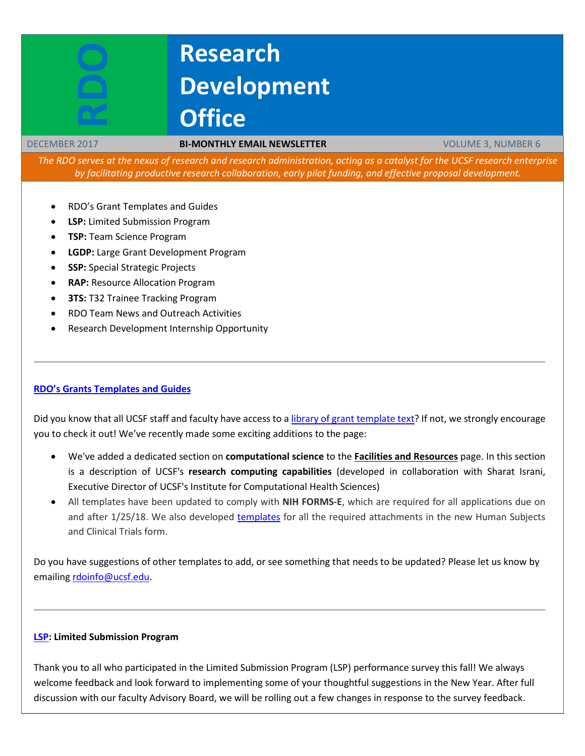# **Research Development Office**

#### DECEMBER 2017 **BI-MONTHLY EMAIL NEWSLETTER** VOLUME 3, NUMBER 6

*The RDO serves at the nexus of research and research administration, acting as a catalyst for the UCSF research enterprise by facilitating productive research collaboration, early pilot funding, and effective proposal development.*

- RDO's Grant Templates and Guides
- **LSP:** Limited Submission Program
- **TSP:** Team Science Program
- **LGDP:** Large Grant Development Program
- **SSP:** Special Strategic Projects
- **RAP:** Resource Allocation Program
- **3TS: T32 Trainee Tracking Program**
- RDO Team News and Outreach Activities
- Research Development Internship Opportunity

# **[RDO's Grants Templates and Guides](https://guides.ucsf.edu/rdo)**

Did you know that all UCSF staff and faculty have access to [a library of grant template text?](http://guides.ucsf.edu/rdo) If not, we strongly encourage you to check it out! We've recently made some exciting additions to the page:

- We've added a dedicated section on **computational science** to the **[Facilities and Resources](https://ucsf.libapps.com/libguides/admin_c.php?g=469056&p=3206664#s-lg-box-17228328)** page. In this section is a description of UCSF's **research computing capabilities** (developed in collaboration with Sharat Israni, Executive Director of UCSF's Institute for Computational Health Sciences)
- All templates have been updated to comply with **NIH FORMS-E**, which are required for all applications due on and after 1/25/18. We also developed [templates](https://guides.ucsf.edu/rdo/human_subjects) for all the required attachments in the new Human Subjects and Clinical Trials form.

Do you have suggestions of other templates to add, or see something that needs to be updated? Please let us know by emailing [rdoinfo@ucsf.edu.](mailto:rdoinfo@ucsf.edu)

#### **[LSP:](http://rdo.ucsf.edu/limited-submission-program-lsp) Limited Submission Program**

Thank you to all who participated in the Limited Submission Program (LSP) performance survey this fall! We always welcome feedback and look forward to implementing some of your thoughtful suggestions in the New Year. After full discussion with our faculty Advisory Board, we will be rolling out a few changes in response to the survey feedback.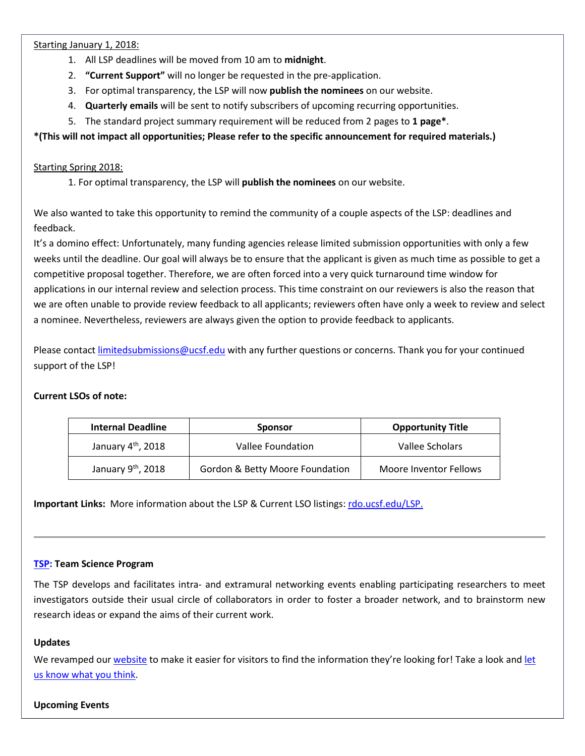Starting January 1, 2018:

- 1. All LSP deadlines will be moved from 10 am to **midnight**.
- 2. **"Current Support"** will no longer be requested in the pre-application.
- 3. For optimal transparency, the LSP will now **publish the nominees** on our website.
- 4. **Quarterly emails** will be sent to notify subscribers of upcoming recurring opportunities.
- 5. The standard project summary requirement will be reduced from 2 pages to **1 page\***.

# **\*(This will not impact all opportunities; Please refer to the specific announcement for required materials.)**

# Starting Spring 2018:

1. For optimal transparency, the LSP will **publish the nominees** on our website.

We also wanted to take this opportunity to remind the community of a couple aspects of the LSP: deadlines and feedback.

It's a domino effect: Unfortunately, many funding agencies release limited submission opportunities with only a few weeks until the deadline. Our goal will always be to ensure that the applicant is given as much time as possible to get a competitive proposal together. Therefore, we are often forced into a very quick turnaround time window for applications in our internal review and selection process. This time constraint on our reviewers is also the reason that we are often unable to provide review feedback to all applicants; reviewers often have only a week to review and select a nominee. Nevertheless, reviewers are always given the option to provide feedback to applicants.

Please contac[t limitedsubmissions@ucsf.edu](mailto:limitedsubmissions@ucsf.edu) with any further questions or concerns. Thank you for your continued support of the LSP!

# **Current LSOs of note:**

| <b>Internal Deadline</b>       | <b>Sponsor</b>                  | <b>Opportunity Title</b> |
|--------------------------------|---------------------------------|--------------------------|
| January $4th$ , 2018           | Vallee Foundation               | Vallee Scholars          |
| January 9 <sup>th</sup> , 2018 | Gordon & Betty Moore Foundation | Moore Inventor Fellows   |

**Important Links:** More information about the LSP & Current LSO listings[: rdo.ucsf.edu/LSP.](http://rdo.ucsf.edu/limited-submission-program-lsp)

# **[TSP:](http://rdo.ucsf.edu/team-science-research-innovation-program-tsrip) Team Science Program**

The TSP develops and facilitates intra- and extramural networking events enabling participating researchers to meet investigators outside their usual circle of collaborators in order to foster a broader network, and to brainstorm new research ideas or expand the aims of their current work.

# **Updates**

We revamped our [website](http://rdo.ucsf.edu/team-science-program) to make it easier for visitors to find the information they're looking for! Take a look and let [us know what you think.](mailto:page.sorensen@ucsf.edu?subject=TSP%20website%20changes)

# **Upcoming Events**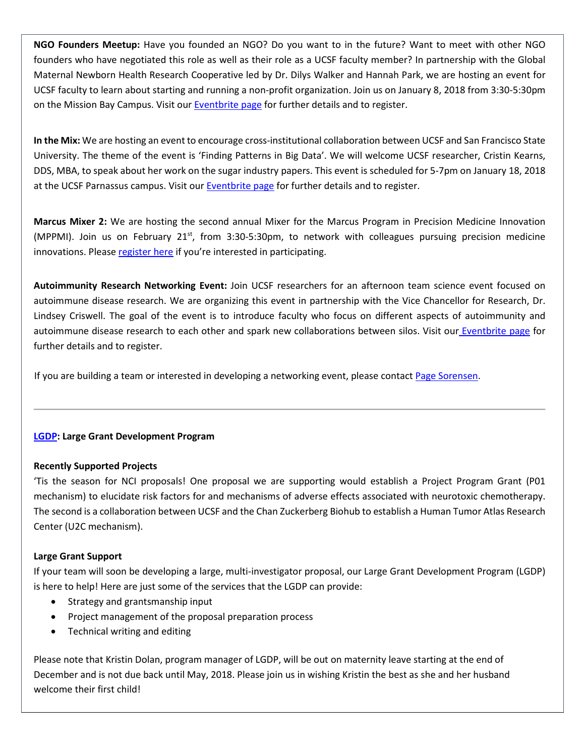**NGO Founders Meetup:** Have you founded an NGO? Do you want to in the future? Want to meet with other NGO founders who have negotiated this role as well as their role as a UCSF faculty member? In partnership with the Global Maternal Newborn Health Research Cooperative led by Dr. Dilys Walker and Hannah Park, we are hosting an event for UCSF faculty to learn about starting and running a non-profit organization. Join us on January 8, 2018 from 3:30-5:30pm on the Mission Bay Campus. Visit our [Eventbrite page](http://www.eventbrite.com/e/ngo-founders-meetup-tickets-41019040053?aff=website) for further details and to register.

**In the Mix:** We are hosting an event to encourage cross-institutional collaboration between UCSF and San Francisco State University. The theme of the event is 'Finding Patterns in Big Data'. We will welcome UCSF researcher, Cristin Kearns, DDS, MBA, to speak about her work on the sugar industry papers. This event is scheduled for 5-7pm on January 18, 2018 at the UCSF Parnassus campus. Visit our [Eventbrite page](https://www.eventbrite.com/e/sf-in-the-mix-tickets-40912254655?aff=website) for further details and to register.

**Marcus Mixer 2:** We are hosting the second annual Mixer for the Marcus Program in Precision Medicine Innovation (MPPMI). Join us on February  $21^{st}$ , from 3:30-5:30pm, to network with colleagues pursuing precision medicine innovations. Please [register here](https://www.eventbrite.com/e/marcus-mixer2-a-networking-event-for-the-marcus-program-mppmi-tickets-39845792839?aff=RDOWebsite) if you're interested in participating.

**Autoimmunity Research Networking Event:** Join UCSF researchers for an afternoon team science event focused on autoimmune disease research. We are organizing this event in partnership with the Vice Chancellor for Research, Dr. Lindsey Criswell. The goal of the event is to introduce faculty who focus on different aspects of autoimmunity and autoimmune disease research to each other and spark new collaborations between silos. Visit our [Eventbrite page](https://www.eventbrite.com/e/autoimmunity-research-networking-event-tickets-40953374646?aff=website) for further details and to register.

If you are building a team or interested in developing a networking event, please contac[t Page Sorensen.](mailto:page.sorensen@ucsf.edu)

# **[LGDP:](http://rdo.ucsf.edu/large-grant-development-program-lgdp) Large Grant Development Program**

# **Recently Supported Projects**

'Tis the season for NCI proposals! One proposal we are supporting would establish a Project Program Grant (P01 mechanism) to elucidate risk factors for and mechanisms of adverse effects associated with neurotoxic chemotherapy. The second is a collaboration between UCSF and the Chan Zuckerberg Biohub to establish a Human Tumor Atlas Research Center (U2C mechanism).

# **Large Grant Support**

If your team will soon be developing a large, multi-investigator proposal, our Large Grant Development Program (LGDP) is here to help! Here are just some of the services that the LGDP can provide:

- Strategy and grantsmanship input
- Project management of the proposal preparation process
- Technical writing and editing

Please note that Kristin Dolan, program manager of LGDP, will be out on maternity leave starting at the end of December and is not due back until May, 2018. Please join us in wishing Kristin the best as she and her husband welcome their first child!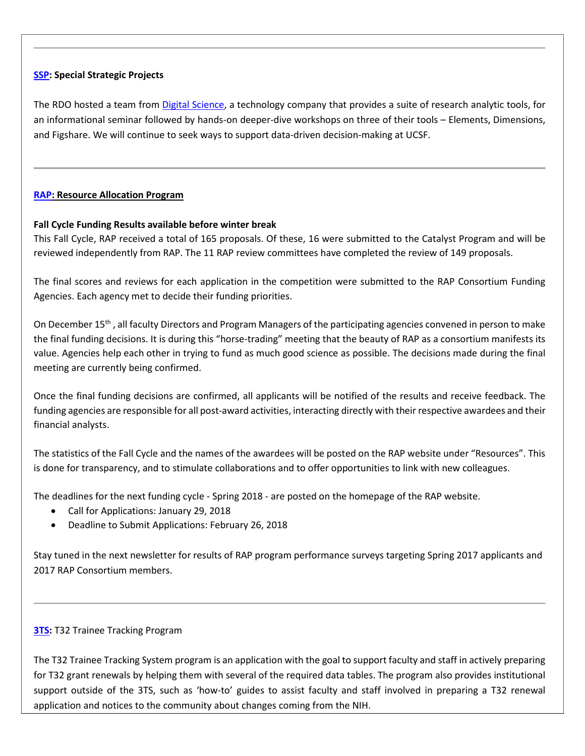# **[SSP:](http://rdo.ucsf.edu/special-strategic-projects-ssp) Special Strategic Projects**

The RDO hosted a team fro[m Digital Science,](https://www.digital-science.com/about-us/) a technology company that provides a suite of research analytic tools, for an informational seminar followed by hands-on deeper-dive workshops on three of their tools – Elements, Dimensions, and Figshare. We will continue to seek ways to support data-driven decision-making at UCSF.

# **[RAP:](https://rap.ucsf.edu/) Resource Allocation Program**

# **Fall Cycle Funding Results available before winter break**

This Fall Cycle, RAP received a total of 165 proposals. Of these, 16 were submitted to the Catalyst Program and will be reviewed independently from RAP. The 11 RAP review committees have completed the review of 149 proposals.

The final scores and reviews for each application in the competition were submitted to the RAP Consortium Funding Agencies. Each agency met to decide their funding priorities.

On December 15<sup>th</sup>, all faculty Directors and Program Managers of the participating agencies convened in person to make the final funding decisions. It is during this "horse-trading" meeting that the beauty of RAP as a consortium manifests its value. Agencies help each other in trying to fund as much good science as possible. The decisions made during the final meeting are currently being confirmed.

Once the final funding decisions are confirmed, all applicants will be notified of the results and receive feedback. The funding agencies are responsible for all post-award activities, interacting directly with their respective awardees and their financial analysts.

The statistics of the Fall Cycle and the names of the awardees will be posted on the RAP website under "Resources". This is done for transparency, and to stimulate collaborations and to offer opportunities to link with new colleagues.

The deadlines for the next funding cycle - Spring 2018 - are posted on the homepage of the RAP website.

- Call for Applications: January 29, 2018
- Deadline to Submit Applications: February 26, 2018

Stay tuned in the next newsletter for results of RAP program performance surveys targeting Spring 2017 applicants and 2017 RAP Consortium members.

# **[3TS:](https://accelerate.ucsf.edu/training/t32-resources#tracking)** T32 Trainee Tracking Program

The T32 Trainee Tracking System program is an application with the goal to support faculty and staff in actively preparing for T32 grant renewals by helping them with several of the required data tables. The program also provides institutional support outside of the 3TS, such as 'how-to' guides to assist faculty and staff involved in preparing a T32 renewal application and notices to the community about changes coming from the NIH.